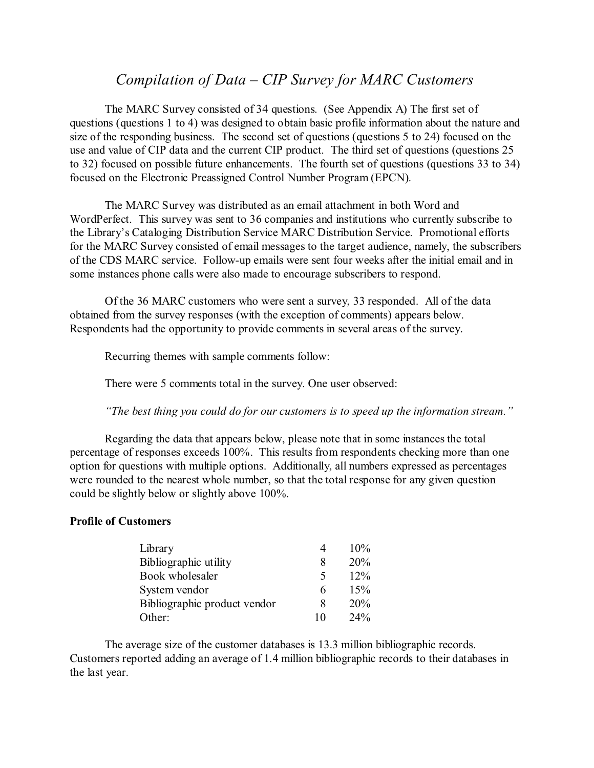### *Compilation of Data – CIP Survey for MARC Customers*

The MARC Survey consisted of 34 questions. (See Appendix A) The first set of questions (questions 1 to 4) was designed to obtain basic profile information about the nature and size of the responding business. The second set of questions (questions 5 to 24) focused on the use and value of CIP data and the current CIP product. The third set of questions (questions 25 to 32) focused on possible future enhancements. The fourth set of questions (questions 33 to 34) focused on the Electronic Preassigned Control Number Program (EPCN).

The MARC Survey was distributed as an email attachment in both Word and WordPerfect. This survey was sent to 36 companies and institutions who currently subscribe to the Library's Cataloging Distribution Service MARC Distribution Service. Promotional efforts for the MARC Survey consisted of email messages to the target audience, namely, the subscribers of the CDS MARC service. Follow-up emails were sent four weeks after the initial email and in some instances phone calls were also made to encourage subscribers to respond.

Of the 36 MARC customers who were sent a survey, 33 responded. All of the data obtained from the survey responses (with the exception of comments) appears below. Respondents had the opportunity to provide comments in several areas of the survey.

Recurring themes with sample comments follow:

There were 5 comments total in the survey. One user observed:

*"The best thing you could do for our customers is to speed up the information stream."*

Regarding the data that appears below, please note that in some instances the total percentage of responses exceeds 100%. This results from respondents checking more than one option for questions with multiple options. Additionally, all numbers expressed as percentages were rounded to the nearest whole number, so that the total response for any given question could be slightly below or slightly above 100%.

#### **Profile of Customers**

| Library                      |    | 10% |
|------------------------------|----|-----|
| Bibliographic utility        | 8  | 20% |
| Book wholesaler              | 5  | 12% |
| System vendor                | 6  | 15% |
| Bibliographic product vendor | 8  | 20% |
| Other:                       | 10 | 24% |

The average size of the customer databases is 13.3 million bibliographic records. Customers reported adding an average of 1.4 million bibliographic records to their databases in the last year.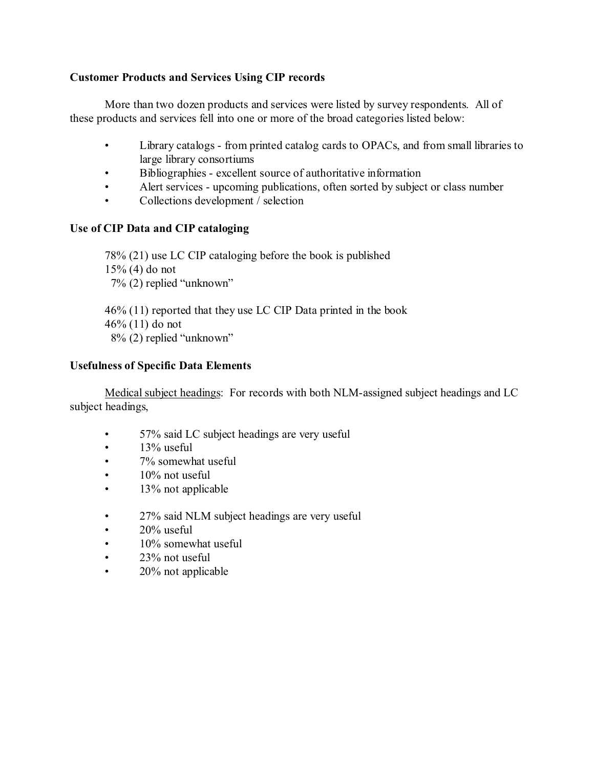### **Customer Products and Services Using CIP records**

More than two dozen products and services were listed by survey respondents. All of these products and services fell into one or more of the broad categories listed below:

- Library catalogs from printed catalog cards to OPACs, and from small libraries to large library consortiums
- Bibliographies excellent source of authoritative information
- Alert services upcoming publications, often sorted by subject or class number
- Collections development / selection

### **Use of CIP Data and CIP cataloging**

78% (21) use LC CIP cataloging before the book is published 15% (4) do not 7% (2) replied "unknown"

46% (11) reported that they use LC CIP Data printed in the book 46% (11) do not 8% (2) replied "unknown"

#### **Usefulness of Specific Data Elements**

Medical subject headings: For records with both NLM-assigned subject headings and LC subject headings,

- 57% said LC subject headings are very useful
- $\cdot$  13% useful
- 7% somewhat useful
- $\cdot$  10% not useful
- 13% not applicable
- 27% said NLM subject headings are very useful
- $\cdot$  20% useful
- 10% somewhat useful
- 23% not useful
- 20% not applicable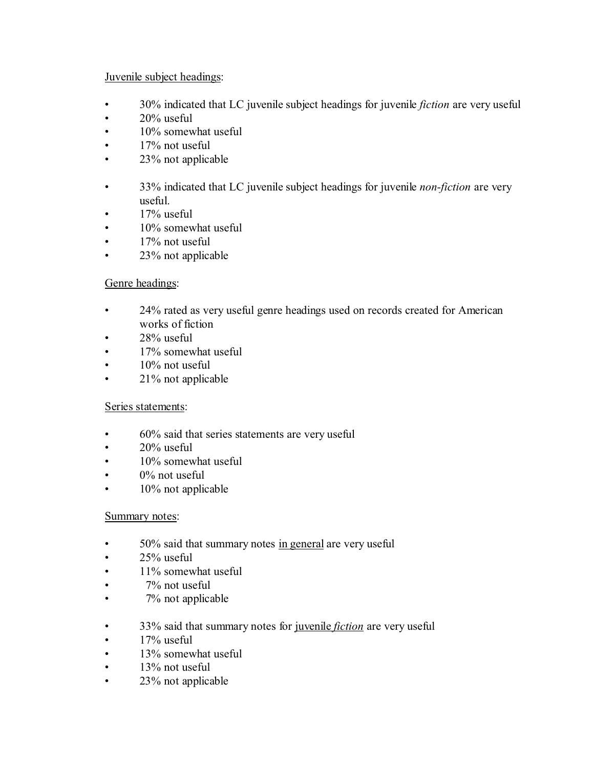### Juvenile subject headings:

- 30% indicated that LC juvenile subject headings for juvenile *fiction* are very useful
- $\cdot$  20% useful
- 10% somewhat useful
- 17% not useful
- 23% not applicable
- 33% indicated that LC juvenile subject headings for juvenile *non-fiction* are very useful.
- 17% useful
- 10% somewhat useful
- 17% not useful
- 23% not applicable

### Genre headings:

- 24% rated as very useful genre headings used on records created for American works of fiction
- 28% useful
- 17% somewhat useful
- $\cdot$  10% not useful
- 21% not applicable

#### Series statements:

- 60% said that series statements are very useful
- $\cdot$  20% useful
- 10% somewhat useful
- $\bullet$  0% not useful
- 10% not applicable

#### Summary notes:

- 50% said that summary notes in general are very useful
- $\cdot$  25% useful
- 11% somewhat useful
- 7% not useful
- 7% not applicable
- 33% said that summary notes for juvenile *fiction* are very useful
- $\cdot$  17% useful
- 13% somewhat useful
- $\cdot$  13% not useful
- 23% not applicable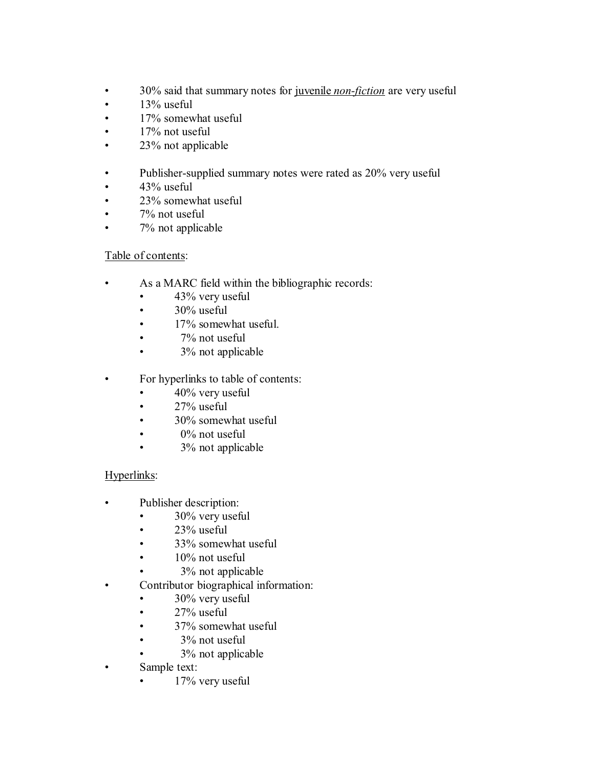- 30% said that summary notes for juvenile *non-fiction* are very useful
- $\cdot$  13% useful
- 17% somewhat useful
- 17% not useful
- 23% not applicable
- Publisher-supplied summary notes were rated as 20% very useful
- 43% useful
- 23% somewhat useful
- 7% not useful
- 7% not applicable

### Table of contents:

- As a MARC field within the bibliographic records:
	- 43% very useful
	- $\cdot$  30% useful
	- 17% somewhat useful.
	- 7% not useful
	- 3% not applicable
- For hyperlinks to table of contents:
	- $\cdot$  40% very useful
	- $\cdot$  27% useful
	- 30% somewhat useful
	- $\bullet$  0% not useful
	- 3% not applicable

### Hyperlinks:

- Publisher description:
	- 30% very useful
	- $\cdot$  23% useful
	- 33% somewhat useful
	- $\cdot$  10% not useful
		- 3% not applicable
- Contributor biographical information:
	- 30% very useful
	- $\cdot$  27% useful
	- 37% somewhat useful
	- 3% not useful
	- 3% not applicable
- Sample text:
	- 17% very useful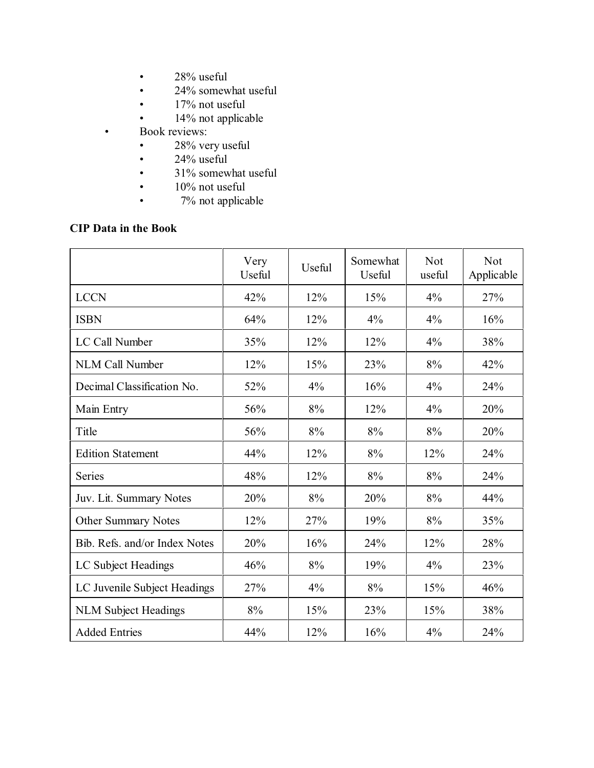- 28% useful
- 24% somewhat useful
- 17% not useful
- 14% not applicable
- Book reviews:
	- 28% very useful
	- $24\%$  useful<br>•  $31\%$  somew
	- 31% somewhat useful
	- 10% not useful
	- 7% not applicable

### **CIP Data in the Book**

|                               | Very<br>Useful | Useful | Somewhat<br>Useful | <b>Not</b><br>useful | Not<br>Applicable |
|-------------------------------|----------------|--------|--------------------|----------------------|-------------------|
| <b>LCCN</b>                   | 42%            | 12%    | 15%                | 4%                   | 27%               |
| <b>ISBN</b>                   | 64%            | 12%    | 4%                 | 4%                   | 16%               |
| LC Call Number                | 35%            | 12%    | 12%                | 4%                   | 38%               |
| <b>NLM Call Number</b>        | 12%            | 15%    | 23%                | 8%                   | 42%               |
| Decimal Classification No.    | 52%            | 4%     | 16%                | 4%                   | 24%               |
| Main Entry                    | 56%            | 8%     | 12%                | 4%                   | 20%               |
| Title                         | 56%            | 8%     | 8%                 | 8%                   | 20%               |
| <b>Edition Statement</b>      | 44%            | 12%    | 8%                 | 12%                  | 24%               |
| <b>Series</b>                 | 48%            | 12%    | $8\%$              | 8%                   | 24%               |
| Juv. Lit. Summary Notes       | 20%            | 8%     | 20%                | 8%                   | 44%               |
| Other Summary Notes           | 12%            | 27%    | 19%                | 8%                   | 35%               |
| Bib. Refs. and/or Index Notes | 20%            | 16%    | 24%                | 12%                  | 28%               |
| LC Subject Headings           | 46%            | 8%     | 19%                | 4%                   | 23%               |
| LC Juvenile Subject Headings  | 27%            | 4%     | 8%                 | 15%                  | 46%               |
| <b>NLM Subject Headings</b>   | 8%             | 15%    | 23%                | 15%                  | 38%               |
| <b>Added Entries</b>          | 44%            | 12%    | 16%                | 4%                   | 24%               |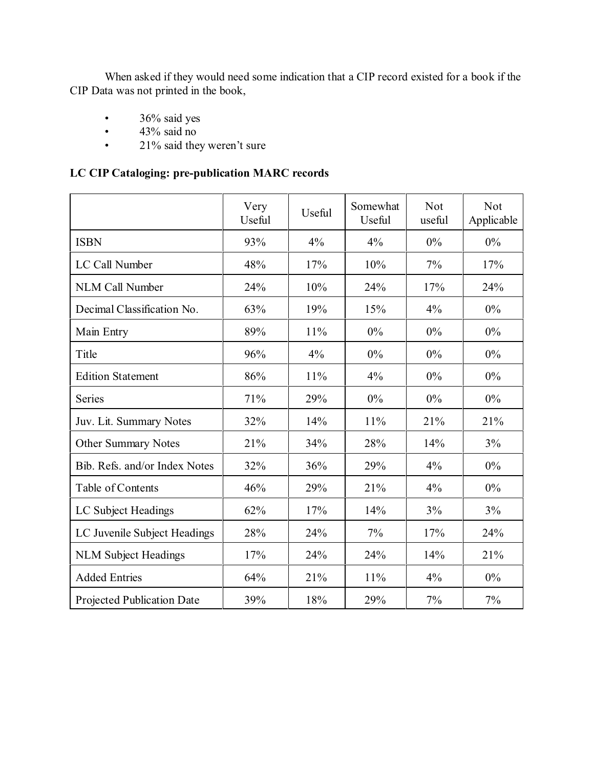When asked if they would need some indication that a CIP record existed for a book if the CIP Data was not printed in the book,

- 36% said yes
- $43\%$  said no<br>•  $21\%$  said the
- 21% said they weren't sure

### **LC CIP Cataloging: pre-publication MARC records**

|                                   | Very<br>Useful | Useful | Somewhat<br>Useful | <b>Not</b><br>useful | <b>Not</b><br>Applicable |
|-----------------------------------|----------------|--------|--------------------|----------------------|--------------------------|
| <b>ISBN</b>                       | 93%            | 4%     | 4%                 | $0\%$                | $0\%$                    |
| LC Call Number                    | 48%            | 17%    | 10%                | 7%                   | 17%                      |
| <b>NLM Call Number</b>            | 24%            | 10%    | 24%                | 17%                  | 24%                      |
| Decimal Classification No.        | 63%            | 19%    | 15%                | 4%                   | $0\%$                    |
| Main Entry                        | 89%            | 11%    | 0%                 | 0%                   | $0\%$                    |
| Title                             | 96%            | 4%     | 0%                 | 0%                   | 0%                       |
| <b>Edition Statement</b>          | 86%            | 11%    | 4%                 | $0\%$                | 0%                       |
| <b>Series</b>                     | 71%            | 29%    | 0%                 | $0\%$                | 0%                       |
| Juv. Lit. Summary Notes           | 32%            | 14%    | 11%                | 21%                  | 21%                      |
| <b>Other Summary Notes</b>        | 21%            | 34%    | 28%                | 14%                  | 3%                       |
| Bib. Refs. and/or Index Notes     | 32%            | 36%    | 29%                | 4%                   | 0%                       |
| Table of Contents                 | 46%            | 29%    | 21%                | 4%                   | $0\%$                    |
| LC Subject Headings               | 62%            | 17%    | 14%                | 3%                   | 3%                       |
| LC Juvenile Subject Headings      | 28%            | 24%    | 7%                 | 17%                  | 24%                      |
| <b>NLM Subject Headings</b>       | 17%            | 24%    | 24%                | 14%                  | 21%                      |
| <b>Added Entries</b>              | 64%            | 21%    | 11%                | 4%                   | $0\%$                    |
| <b>Projected Publication Date</b> | 39%            | 18%    | 29%                | 7%                   | 7%                       |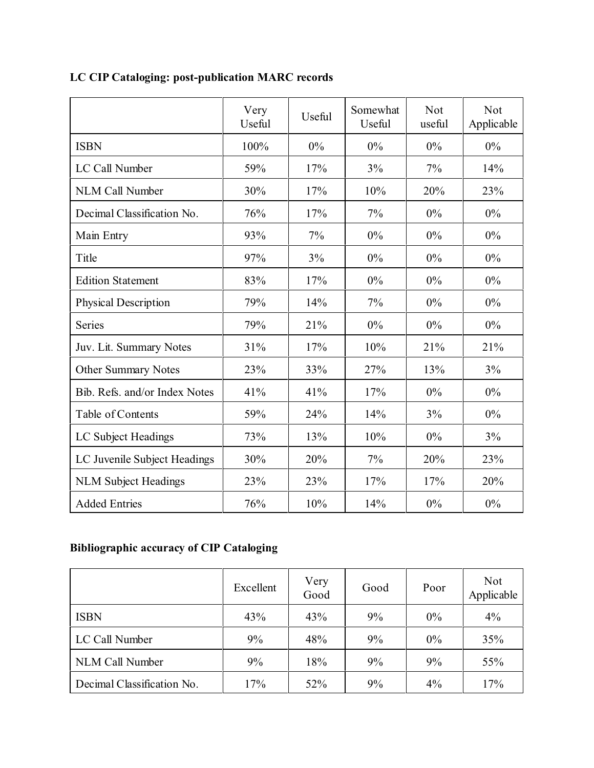|                               | Very<br>Useful | Useful | Somewhat<br>Useful | <b>Not</b><br>useful | Not<br>Applicable |
|-------------------------------|----------------|--------|--------------------|----------------------|-------------------|
| <b>ISBN</b>                   | 100%           | $0\%$  | $0\%$              | $0\%$                | 0%                |
| LC Call Number                | 59%            | 17%    | 3%                 | 7%                   | 14%               |
| <b>NLM Call Number</b>        | 30%            | 17%    | 10%                | 20%                  | 23%               |
| Decimal Classification No.    | 76%            | 17%    | 7%                 | $0\%$                | 0%                |
| Main Entry                    | 93%            | 7%     | $0\%$              | 0%                   | 0%                |
| Title                         | 97%            | 3%     | $0\%$              | 0%                   | 0%                |
| <b>Edition Statement</b>      | 83%            | 17%    | $0\%$              | 0%                   | 0%                |
| <b>Physical Description</b>   | 79%            | 14%    | 7%                 | $0\%$                | 0%                |
| <b>Series</b>                 | 79%            | 21%    | $0\%$              | $0\%$                | 0%                |
| Juv. Lit. Summary Notes       | 31%            | 17%    | 10%                | 21%                  | 21%               |
| <b>Other Summary Notes</b>    | 23%            | 33%    | 27%                | 13%                  | 3%                |
| Bib. Refs. and/or Index Notes | 41%            | 41%    | 17%                | 0%                   | 0%                |
| Table of Contents             | 59%            | 24%    | 14%                | 3%                   | 0%                |
| LC Subject Headings           | 73%            | 13%    | 10%                | 0%                   | 3%                |
| LC Juvenile Subject Headings  | 30%            | 20%    | $7\%$              | 20%                  | 23%               |
| <b>NLM Subject Headings</b>   | 23%            | 23%    | 17%                | 17%                  | 20%               |
| <b>Added Entries</b>          | 76%            | 10%    | 14%                | 0%                   | 0%                |

# **LC CIP Cataloging: post-publication MARC records**

# **Bibliographic accuracy of CIP Cataloging**

|                            | Excellent | Very<br>Good | Good | Poor  | <b>Not</b><br>Applicable |
|----------------------------|-----------|--------------|------|-------|--------------------------|
| <b>ISBN</b>                | 43%       | 43%          | 9%   | $0\%$ | 4%                       |
| LC Call Number             | 9%        | 48%          | 9%   | $0\%$ | 35%                      |
| <b>NLM Call Number</b>     | 9%        | 18%          | 9%   | 9%    | 55%                      |
| Decimal Classification No. | 17%       | 52%          | 9%   | 4%    | 17%                      |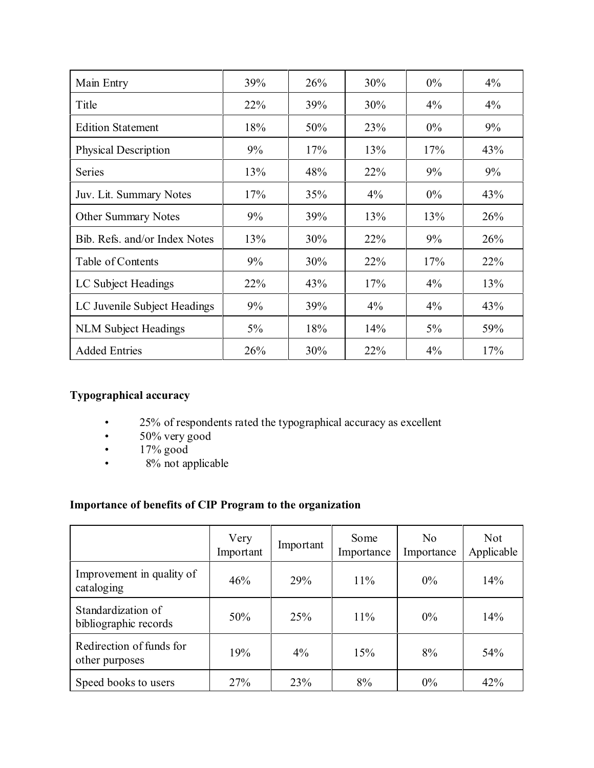| Main Entry                    | 39%   | 26% | 30%    | $0\%$ | $4\%$ |
|-------------------------------|-------|-----|--------|-------|-------|
| Title                         | 22%   | 39% | 30%    | $4\%$ | $4\%$ |
| <b>Edition Statement</b>      | 18%   | 50% | 23%    | $0\%$ | 9%    |
| <b>Physical Description</b>   | 9%    | 17% | 13%    | 17%   | 43%   |
| Series                        | 13%   | 48% | $22\%$ | 9%    | 9%    |
| Juv. Lit. Summary Notes       | 17%   | 35% | $4\%$  | $0\%$ | 43%   |
| <b>Other Summary Notes</b>    | 9%    | 39% | 13%    | 13%   | 26%   |
| Bib. Refs. and/or Index Notes | 13%   | 30% | 22%    | 9%    | 26%   |
| Table of Contents             | 9%    | 30% | 22%    | 17%   | 22%   |
| LC Subject Headings           | 22%   | 43% | 17%    | 4%    | 13%   |
| LC Juvenile Subject Headings  | 9%    | 39% | $4\%$  | 4%    | 43%   |
| <b>NLM Subject Headings</b>   | $5\%$ | 18% | 14%    | 5%    | 59%   |
| <b>Added Entries</b>          | 26%   | 30% | 22%    | 4%    | 17%   |

### **Typographical accuracy**

- 25% of respondents rated the typographical accuracy as excellent
- 50% very good
- 17% good
- 8% not applicable

### **Importance of benefits of CIP Program to the organization**

|                                             | Very<br>Important | Important | Some<br>Importance | N <sub>0</sub><br>Importance | <b>Not</b><br>Applicable |
|---------------------------------------------|-------------------|-----------|--------------------|------------------------------|--------------------------|
| Improvement in quality of<br>cataloging     | 46%               | 29%       | $11\%$             | $0\%$                        | 14%                      |
| Standardization of<br>bibliographic records | 50%               | 25%       | $11\%$             | $0\%$                        | 14%                      |
| Redirection of funds for<br>other purposes  | 19%               | $4\%$     | 15%                | 8%                           | 54%                      |
| Speed books to users                        | 27%               | 23%       | 8%                 | $0\%$                        | 42%                      |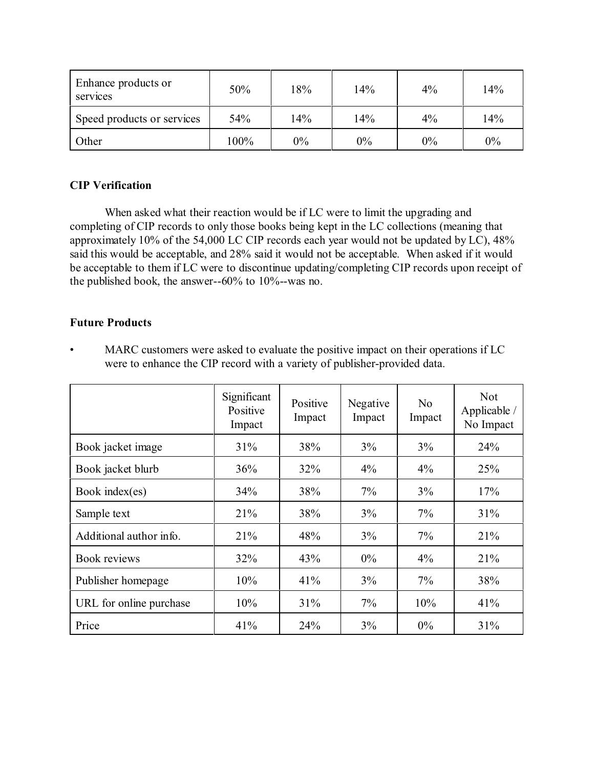| Enhance products or<br>services | 50%  | 18%   | 14% | $4\%$ | 14%   |
|---------------------------------|------|-------|-----|-------|-------|
| Speed products or services      | 54%  | 14%   | 14% | $4\%$ | 14%   |
| Other                           | 100% | $0\%$ | 0%  | $0\%$ | $0\%$ |

### **CIP Verification**

When asked what their reaction would be if LC were to limit the upgrading and completing of CIP records to only those books being kept in the LC collections (meaning that approximately 10% of the 54,000 LC CIP records each year would not be updated by LC), 48% said this would be acceptable, and 28% said it would not be acceptable. When asked if it would be acceptable to them if LC were to discontinue updating/completing CIP records upon receipt of the published book, the answer--60% to 10%--was no.

### **Future Products**

• MARC customers were asked to evaluate the positive impact on their operations if LC were to enhance the CIP record with a variety of publisher-provided data.

|                         | Significant<br>Positive<br>Impact | Positive<br>Impact | Negative<br>Impact | N <sub>0</sub><br>Impact | <b>Not</b><br>Applicable /<br>No Impact |
|-------------------------|-----------------------------------|--------------------|--------------------|--------------------------|-----------------------------------------|
| Book jacket image       | 31%                               | 38%                | 3%                 | 3%                       | 24%                                     |
| Book jacket blurb       | 36%                               | 32%                | $4\%$              | $4\%$                    | 25%                                     |
| Book index(es)          | 34%                               | 38%                | 7%                 | 3%                       | 17%                                     |
| Sample text             | 21%                               | 38%                | 3%                 | 7%                       | 31%                                     |
| Additional author info. | 21%                               | 48%                | 3%                 | 7%                       | 21%                                     |
| Book reviews            | 32%                               | 43%                | $0\%$              | $4\%$                    | 21%                                     |
| Publisher homepage      | 10%                               | 41%                | 3%                 | $7\%$                    | 38%                                     |
| URL for online purchase | 10%                               | 31%                | $7\%$              | 10%                      | 41%                                     |
| Price                   | 41%                               | 24%                | 3%                 | $0\%$                    | 31%                                     |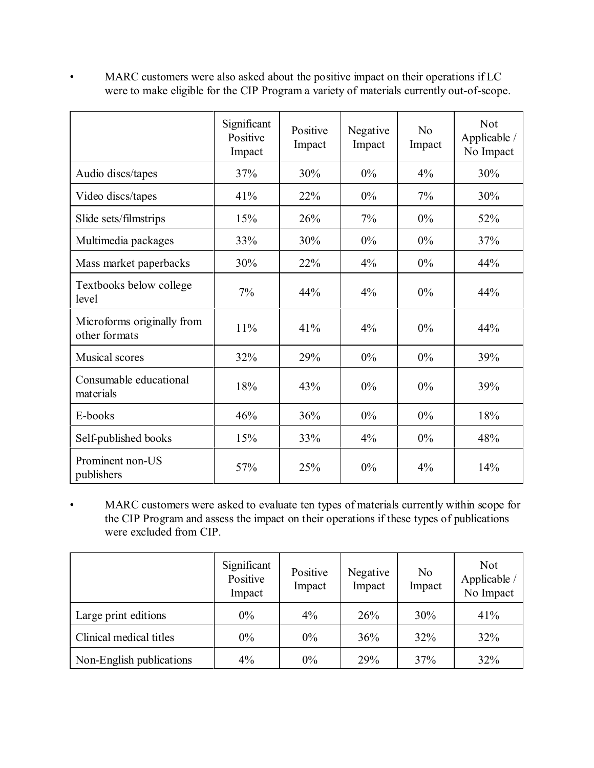• MARC customers were also asked about the positive impact on their operations if LC were to make eligible for the CIP Program a variety of materials currently out-of-scope.

|                                             | Significant<br>Positive<br>Impact | Positive<br>Impact | Negative<br>Impact | No<br>Impact | <b>Not</b><br>Applicable /<br>No Impact |
|---------------------------------------------|-----------------------------------|--------------------|--------------------|--------------|-----------------------------------------|
| Audio discs/tapes                           | 37%                               | 30%                | 0%                 | 4%           | 30%                                     |
| Video discs/tapes                           | 41%                               | 22%                | 0%                 | $7\%$        | 30%                                     |
| Slide sets/filmstrips                       | 15%                               | 26%                | 7%                 | 0%           | 52%                                     |
| Multimedia packages                         | 33%                               | 30%                | 0%                 | $0\%$        | 37%                                     |
| Mass market paperbacks                      | 30%                               | 22%                | 4%                 | 0%           | 44%                                     |
| Textbooks below college<br>level            | 7%                                | 44%                | $4\%$              | $0\%$        | 44%                                     |
| Microforms originally from<br>other formats | 11%                               | 41%                | 4%                 | $0\%$        | 44%                                     |
| <b>Musical scores</b>                       | 32%                               | 29%                | 0%                 | $0\%$        | 39%                                     |
| Consumable educational<br>materials         | 18%                               | 43%                | 0%                 | $0\%$        | 39%                                     |
| E-books                                     | 46%                               | 36%                | 0%                 | $0\%$        | 18%                                     |
| Self-published books                        | 15%                               | 33%                | 4%                 | 0%           | 48%                                     |
| Prominent non-US<br>publishers              | 57%                               | 25%                | 0%                 | 4%           | 14%                                     |

• MARC customers were asked to evaluate ten types of materials currently within scope for the CIP Program and assess the impact on their operations if these types of publications were excluded from CIP.

|                          | Significant<br>Positive<br>Impact | Positive<br>Impact | Negative<br>Impact | No<br>Impact | <b>Not</b><br>Applicable /<br>No Impact |
|--------------------------|-----------------------------------|--------------------|--------------------|--------------|-----------------------------------------|
| Large print editions     | $0\%$                             | 4%                 | 26%                | 30%          | 41%                                     |
| Clinical medical titles  | $0\%$                             | $0\%$              | 36%                | 32%          | 32%                                     |
| Non-English publications | $4\%$                             | $0\%$              | 29%                | 37%          | 32%                                     |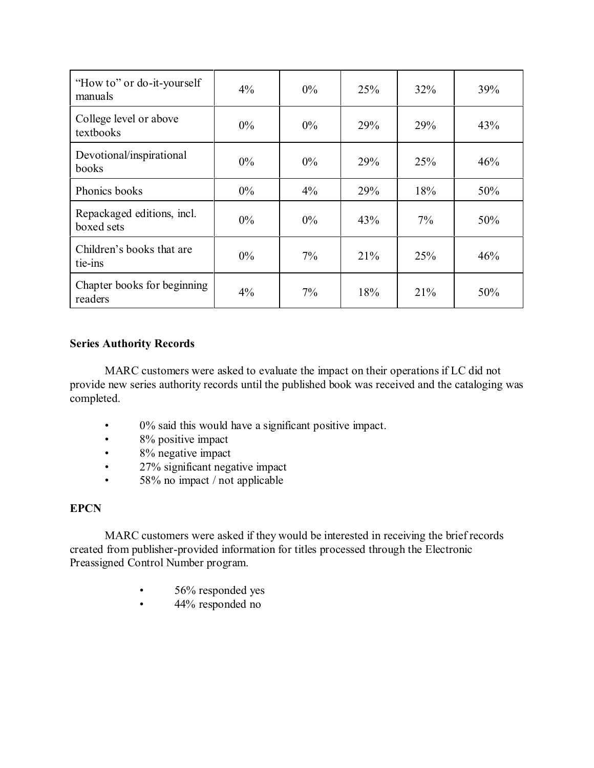| "How to" or do-it-yourself<br>manuals    | $4\%$ | $0\%$ | 25% | 32%   | 39% |
|------------------------------------------|-------|-------|-----|-------|-----|
| College level or above<br>textbooks      | $0\%$ | $0\%$ | 29% | 29%   | 43% |
| Devotional/inspirational<br>books        | $0\%$ | $0\%$ | 29% | 25%   | 46% |
| Phonics books                            | $0\%$ | $4\%$ | 29% | 18%   | 50% |
| Repackaged editions, incl.<br>boxed sets | $0\%$ | $0\%$ | 43% | $7\%$ | 50% |
| Children's books that are<br>tie-ins     | $0\%$ | $7\%$ | 21% | 25%   | 46% |
| Chapter books for beginning<br>readers   | $4\%$ | 7%    | 18% | 21%   | 50% |

### **Series Authority Records**

MARC customers were asked to evaluate the impact on their operations if LC did not provide new series authority records until the published book was received and the cataloging was completed.

- 0% said this would have a significant positive impact.
- 8% positive impact
- 8% negative impact
- 27% significant negative impact
- 58% no impact / not applicable

### **EPCN**

MARC customers were asked if they would be interested in receiving the brief records created from publisher-provided information for titles processed through the Electronic Preassigned Control Number program.

- 56% responded yes
- 44% responded no